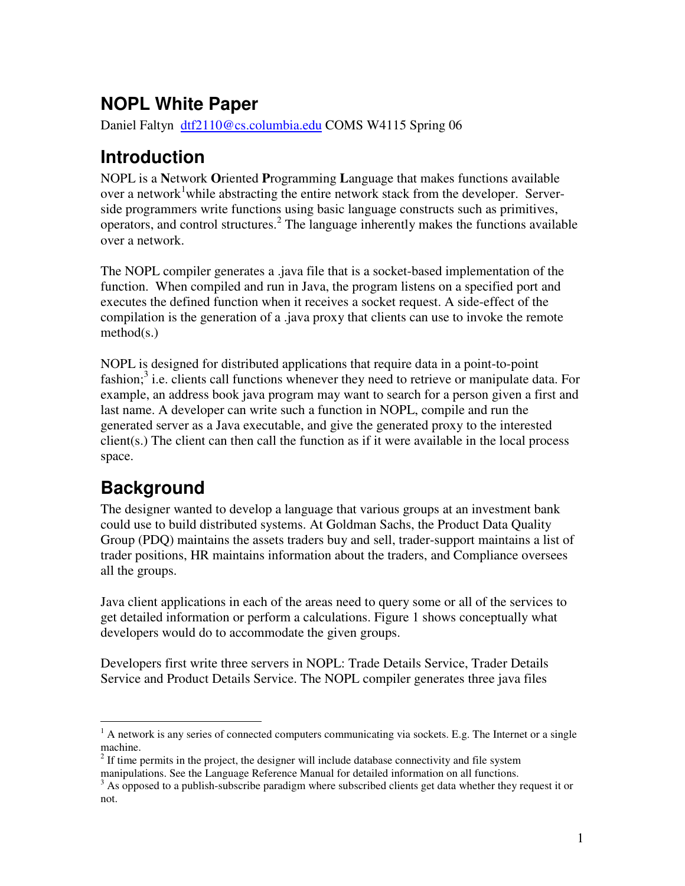# **NOPL White Paper**

Daniel Faltyn dtf2110@cs.columbia.edu COMS W4115 Spring 06

# **Introduction**

NOPL is a **N**etwork **O**riented **P**rogramming **L**anguage that makes functions available over a network<sup>1</sup> while abstracting the entire network stack from the developer. Serverside programmers write functions using basic language constructs such as primitives, operators, and control structures. 2 The language inherently makes the functions available over a network.

The NOPL compiler generates a .java file that is a socket-based implementation of the function. When compiled and run in Java, the program listens on a specified port and executes the defined function when it receives a socket request. A side-effect of the compilation is the generation of a .java proxy that clients can use to invoke the remote method(s.)

NOPL is designed for distributed applications that require data in a point-to-point fashion;<sup>3</sup> i.e. clients call functions whenever they need to retrieve or manipulate data. For example, an address book java program may want to search for a person given a first and last name. A developer can write such a function in NOPL, compile and run the generated server as a Java executable, and give the generated proxy to the interested client(s.) The client can then call the function as if it were available in the local process space.

# **Background**

The designer wanted to develop a language that various groups at an investment bank could use to build distributed systems. At Goldman Sachs, the Product Data Quality Group (PDQ) maintains the assets traders buy and sell, trader-support maintains a list of trader positions, HR maintains information about the traders, and Compliance oversees all the groups.

Java client applications in each of the areas need to query some or all of the services to get detailed information or perform a calculations. Figure 1 shows conceptually what developers would do to accommodate the given groups.

Developers first write three servers in NOPL: Trade Details Service, Trader Details Service and Product Details Service. The NOPL compiler generates three java files

<sup>&</sup>lt;sup>1</sup> A network is any series of connected computers communicating via sockets. E.g. The Internet or a single machine.

 $2^{2}$  If time permits in the project, the designer will include database connectivity and file system manipulations. See the Language Reference Manual for detailed information on all functions.

 $3$  As opposed to a publish-subscribe paradigm where subscribed clients get data whether they request it or not.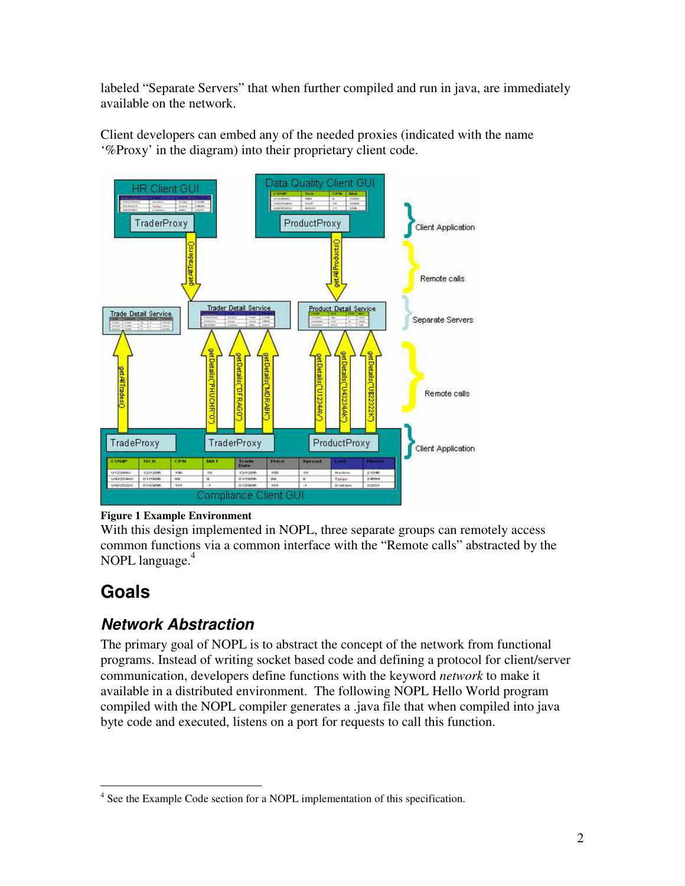labeled "Separate Servers" that when further compiled and run in java, are immediately available on the network.

Client developers can embed any of the needed proxies (indicated with the name '%Proxy' in the diagram) into their proprietary client code.



#### **Figure 1 Example Environment**

With this design implemented in NOPL, three separate groups can remotely access common functions via a common interface with the "Remote calls" abstracted by the NOPL language. 4

# **Goals**

#### *Network Abstraction*

The primary goal of NOPL is to abstract the concept of the network from functional programs. Instead of writing socket based code and defining a protocol for client/server communication, developers define functions with the keyword *network* to make it available in a distributed environment. The following NOPL Hello World program compiled with the NOPL compiler generates a .java file that when compiled into java byte code and executed, listens on a port for requests to call this function.

<sup>&</sup>lt;sup>4</sup> See the Example Code section for a NOPL implementation of this specification.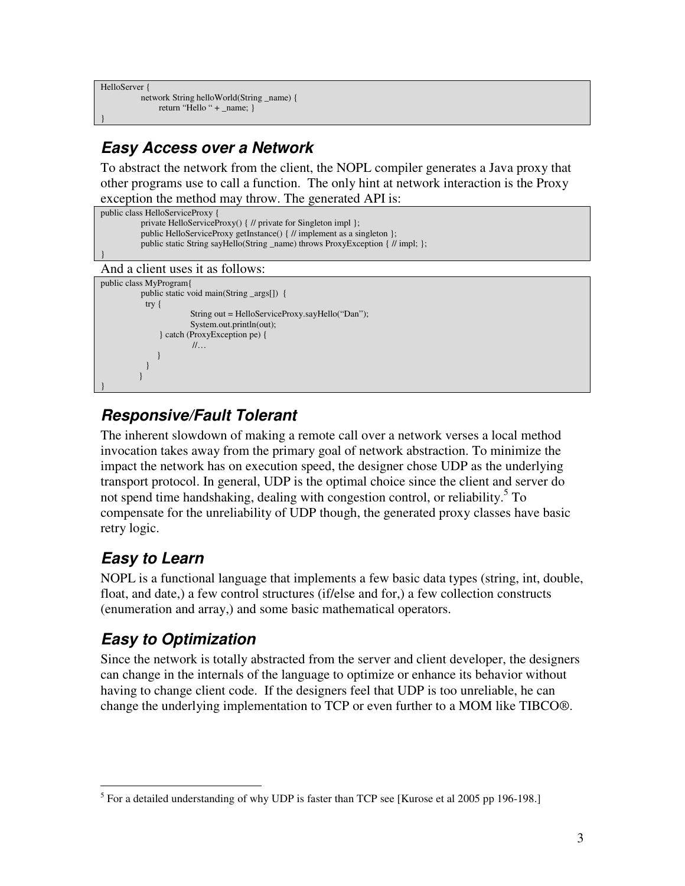```
HelloServer {
          network String helloWorld(String _name) {
               return "Hello " + _name; }
}
```
#### *Easy Access over a Network*

To abstract the network from the client, the NOPL compiler generates a Java proxy that other programs use to call a function. The only hint at network interaction is the Proxy exception the method may throw. The generated API is:

```
public class HelloServiceProxy {
           private HelloServiceProxy() { // private for Singleton impl };
           public HelloServiceProxy getInstance() { // implement as a singleton };
           public static String sayHello(String _name) throws ProxyException { \# impl; };
}
```
And a client uses it as follows:

```
public class MyProgram{
          public static void main(String _args[]) {
            try {
                        String out = HelloServiceProxy.sayHello("Dan");
                        System.out.println(out);
                } catch (ProxyException pe) {
                         //…
                }
            }
          }
}
```
#### *Responsive/Fault Tolerant*

The inherent slowdown of making a remote call over a network verses a local method invocation takes away from the primary goal of network abstraction. To minimize the impact the network has on execution speed, the designer chose UDP as the underlying transport protocol. In general, UDP is the optimal choice since the client and server do not spend time handshaking, dealing with congestion control, or reliability. 5 To compensate for the unreliability of UDP though, the generated proxy classes have basic retry logic.

### *Easy to Learn*

NOPL is a functional language that implements a few basic data types (string, int, double, float, and date,) a few control structures (if/else and for,) a few collection constructs (enumeration and array,) and some basic mathematical operators.

#### *Easy to Optimization*

Since the network is totally abstracted from the server and client developer, the designers can change in the internals of the language to optimize or enhance its behavior without having to change client code. If the designers feel that UDP is too unreliable, he can change the underlying implementation to TCP or even further to a MOM like TIBCO®.

<sup>&</sup>lt;sup>5</sup> For a detailed understanding of why UDP is faster than TCP see [Kurose et al 2005 pp 196-198.]